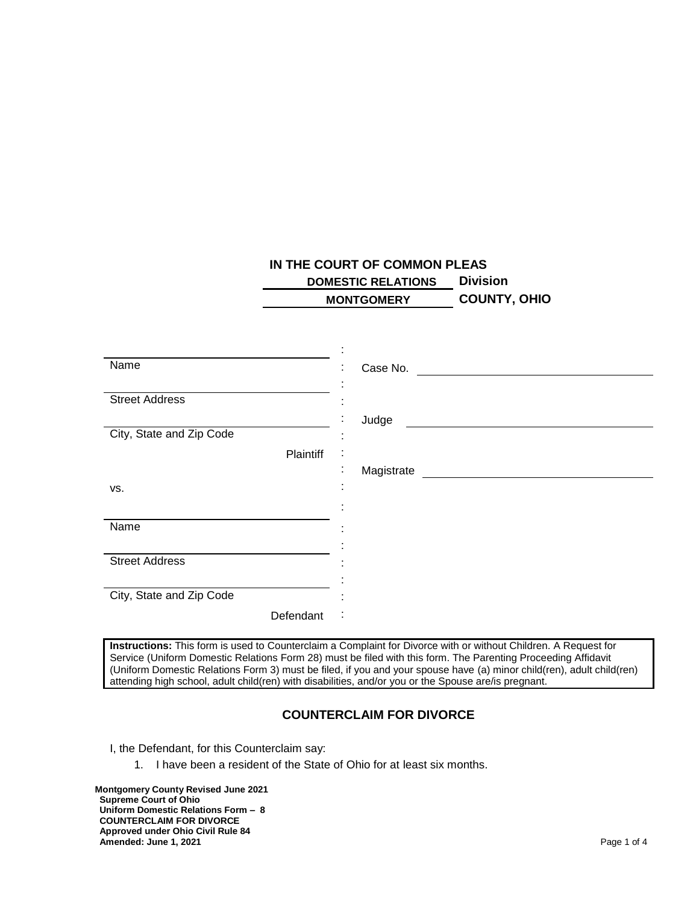## **IN THE COURT OF COMMON PLEAS DOMESTIC RELATIONS Division MONTGOMERY COUNTY, OHIO**

| Name                     | Case No.             |
|--------------------------|----------------------|
|                          |                      |
| <b>Street Address</b>    |                      |
|                          | Judge                |
| City, State and Zip Code |                      |
| Plaintiff                | ÷                    |
|                          | ٠<br>Magistrate<br>٠ |
| VS.                      |                      |
|                          |                      |
| Name                     |                      |
|                          |                      |
| <b>Street Address</b>    |                      |
|                          |                      |
| City, State and Zip Code |                      |
| Defendant                | ÷                    |

**Instructions:** This form is used to Counterclaim a Complaint for Divorce with or without Children. A Request for Service (Uniform Domestic Relations Form 28) must be filed with this form. The Parenting Proceeding Affidavit (Uniform Domestic Relations Form 3) must be filed, if you and your spouse have (a) minor child(ren), adult child(ren) attending high school, adult child(ren) with disabilities, and/or you or the Spouse are/is pregnant.

## **COUNTERCLAIM FOR DIVORCE**

I, the Defendant, for this Counterclaim say:

1. I have been a resident of the State of Ohio for at least six months.

**Montgomery County Revised June 2021 Supreme Court of Ohio Uniform Domestic Relations Form – 8 COUNTERCLAIM FOR DIVORCE Approved under Ohio Civil Rule 84 Amended: June 1, 2021** Page 1 of 4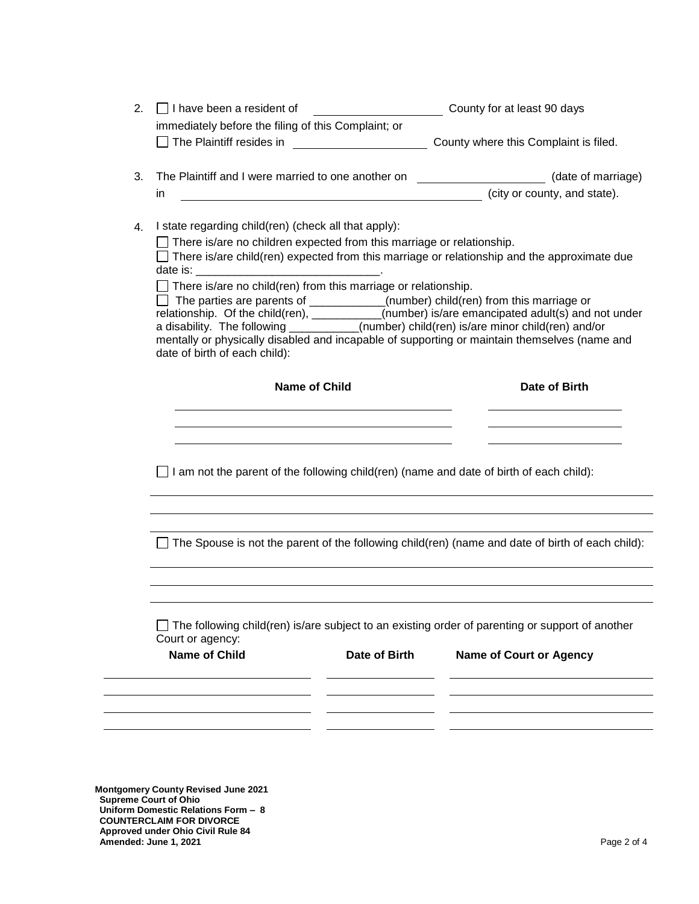| 2. | $\Box$ I have been a resident of                                             |                                                                                                                                                                                                                               | County for at least 90 days                                                                                                                                                               |  |
|----|------------------------------------------------------------------------------|-------------------------------------------------------------------------------------------------------------------------------------------------------------------------------------------------------------------------------|-------------------------------------------------------------------------------------------------------------------------------------------------------------------------------------------|--|
|    | immediately before the filing of this Complaint; or                          |                                                                                                                                                                                                                               |                                                                                                                                                                                           |  |
|    | $\Box$ The Plaintiff resides in                                              | <u> 1990 - Johann Barbara, martin eta </u>                                                                                                                                                                                    | County where this Complaint is filed.                                                                                                                                                     |  |
| 3. | The Plaintiff and I were married to one another on                           |                                                                                                                                                                                                                               | (date of marriage)                                                                                                                                                                        |  |
|    | in.                                                                          |                                                                                                                                                                                                                               | (city or county, and state).                                                                                                                                                              |  |
|    |                                                                              |                                                                                                                                                                                                                               |                                                                                                                                                                                           |  |
| 4. | I state regarding child(ren) (check all that apply):                         |                                                                                                                                                                                                                               |                                                                                                                                                                                           |  |
|    | $\Box$ There is/are no children expected from this marriage or relationship. |                                                                                                                                                                                                                               |                                                                                                                                                                                           |  |
|    |                                                                              |                                                                                                                                                                                                                               | $\Box$ There is/are child(ren) expected from this marriage or relationship and the approximate due                                                                                        |  |
|    | $\Box$ There is/are no child(ren) from this marriage or relationship.        |                                                                                                                                                                                                                               |                                                                                                                                                                                           |  |
|    |                                                                              |                                                                                                                                                                                                                               | $\Box$ The parties are parents of $\_\_\_\_\_\_\_\_$ (number) child(ren) from this marriage or                                                                                            |  |
|    |                                                                              |                                                                                                                                                                                                                               | relationship. Of the child(ren), __________(number) is/are emancipated adult(s) and not under<br>a disability. The following __________(number) child(ren) is/are minor child(ren) and/or |  |
|    |                                                                              |                                                                                                                                                                                                                               | mentally or physically disabled and incapable of supporting or maintain themselves (name and                                                                                              |  |
|    | date of birth of each child):                                                |                                                                                                                                                                                                                               |                                                                                                                                                                                           |  |
|    |                                                                              |                                                                                                                                                                                                                               | Date of Birth                                                                                                                                                                             |  |
|    | <b>Name of Child</b>                                                         |                                                                                                                                                                                                                               |                                                                                                                                                                                           |  |
|    |                                                                              |                                                                                                                                                                                                                               |                                                                                                                                                                                           |  |
|    |                                                                              |                                                                                                                                                                                                                               |                                                                                                                                                                                           |  |
|    |                                                                              | the control of the control of the control of the control of the control of the control of the control of the control of the control of the control of the control of the control of the control of the control of the control |                                                                                                                                                                                           |  |
|    |                                                                              |                                                                                                                                                                                                                               |                                                                                                                                                                                           |  |
|    |                                                                              |                                                                                                                                                                                                                               |                                                                                                                                                                                           |  |
|    |                                                                              |                                                                                                                                                                                                                               | $\Box$ I am not the parent of the following child(ren) (name and date of birth of each child):                                                                                            |  |
|    |                                                                              |                                                                                                                                                                                                                               |                                                                                                                                                                                           |  |
|    |                                                                              |                                                                                                                                                                                                                               |                                                                                                                                                                                           |  |
|    |                                                                              |                                                                                                                                                                                                                               |                                                                                                                                                                                           |  |
|    |                                                                              |                                                                                                                                                                                                                               | $\Box$ The Spouse is not the parent of the following child(ren) (name and date of birth of each child):                                                                                   |  |
|    |                                                                              |                                                                                                                                                                                                                               |                                                                                                                                                                                           |  |
|    |                                                                              |                                                                                                                                                                                                                               |                                                                                                                                                                                           |  |
|    |                                                                              |                                                                                                                                                                                                                               |                                                                                                                                                                                           |  |
|    |                                                                              |                                                                                                                                                                                                                               |                                                                                                                                                                                           |  |
|    | Court or agency:                                                             |                                                                                                                                                                                                                               | $\Box$ The following child(ren) is/are subject to an existing order of parenting or support of another                                                                                    |  |
|    | <b>Name of Child</b>                                                         | Date of Birth                                                                                                                                                                                                                 | <b>Name of Court or Agency</b>                                                                                                                                                            |  |
|    |                                                                              |                                                                                                                                                                                                                               |                                                                                                                                                                                           |  |
|    |                                                                              |                                                                                                                                                                                                                               |                                                                                                                                                                                           |  |
|    |                                                                              |                                                                                                                                                                                                                               |                                                                                                                                                                                           |  |
|    |                                                                              |                                                                                                                                                                                                                               |                                                                                                                                                                                           |  |
|    |                                                                              |                                                                                                                                                                                                                               |                                                                                                                                                                                           |  |
|    |                                                                              |                                                                                                                                                                                                                               |                                                                                                                                                                                           |  |

**Supreme Court of Ohio Uniform Domestic Relations Form – 8 COUNTERCLAIM FOR DIVORCE Approved under Ohio Civil Rule 84 Amended: June 1, 2021** Page 2 of 4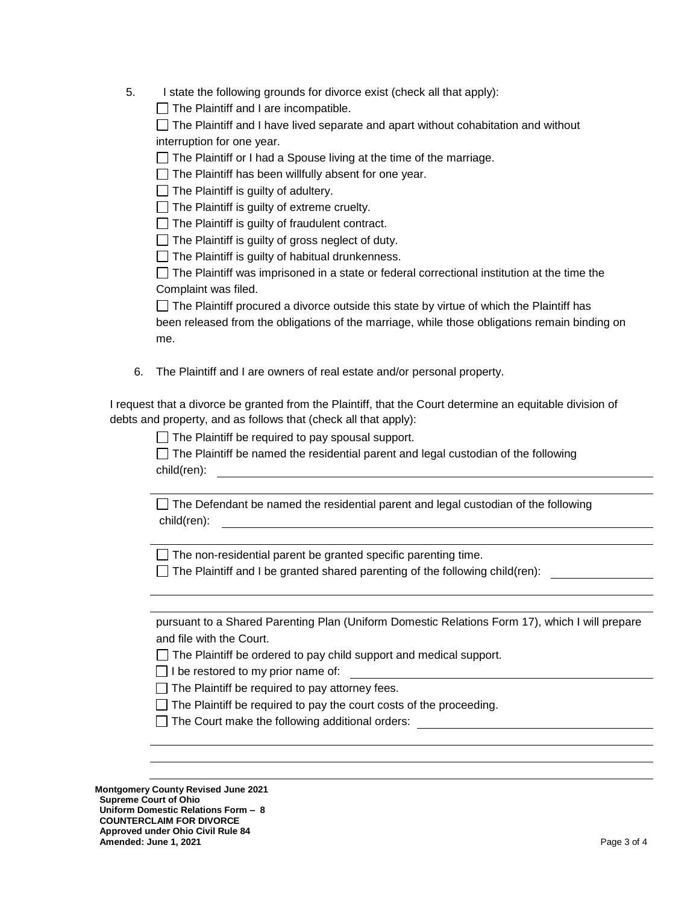5. I state the following grounds for divorce exist (check all that apply):

 $\Box$  The Plaintiff and I are incompatible.

 $\Box$  The Plaintiff and I have lived separate and apart without cohabitation and without interruption for one year.

 $\Box$  The Plaintiff or I had a Spouse living at the time of the marriage.

 $\Box$  The Plaintiff has been willfully absent for one year.

 $\Box$  The Plaintiff is guilty of adultery.

 $\Box$  The Plaintiff is guilty of extreme cruelty.

 $\Box$  The Plaintiff is guilty of fraudulent contract.

 $\Box$  The Plaintiff is guilty of gross neglect of duty.

 $\Box$  The Plaintiff is guilty of habitual drunkenness.

 $\Box$  The Plaintiff was imprisoned in a state or federal correctional institution at the time the Complaint was filed.

 $\Box$  The Plaintiff procured a divorce outside this state by virtue of which the Plaintiff has been released from the obligations of the marriage, while those obligations remain binding on me.

6. The Plaintiff and I are owners of real estate and/or personal property.

I request that a divorce be granted from the Plaintiff, that the Court determine an equitable division of debts and property, and as follows that (check all that apply):

 $\Box$  The Plaintiff be required to pay spousal support.

 $\Box$  The Plaintiff be named the residential parent and legal custodian of the following child(ren):

 $\Box$  The Defendant be named the residential parent and legal custodian of the following child(ren):

 $\Box$  The non-residential parent be granted specific parenting time.

 $\Box$  The Plaintiff and I be granted shared parenting of the following child(ren):

pursuant to a Shared Parenting Plan (Uniform Domestic Relations Form 17), which I will prepare and file with the Court.

 $\Box$  The Plaintiff be ordered to pay child support and medical support.

 $\Box$  I be restored to my prior name of:

 $\Box$  The Plaintiff be required to pay attorney fees.

 $\Box$  The Plaintiff be required to pay the court costs of the proceeding.

 $\Box$  The Court make the following additional orders:

**Montgomery County Revised June 2021 Supreme Court of Ohio Uniform Domestic Relations Form – 8 COUNTERCLAIM FOR DIVORCE Approved under Ohio Civil Rule 84 Amended: June 1, 2021 Page 3 of 4**